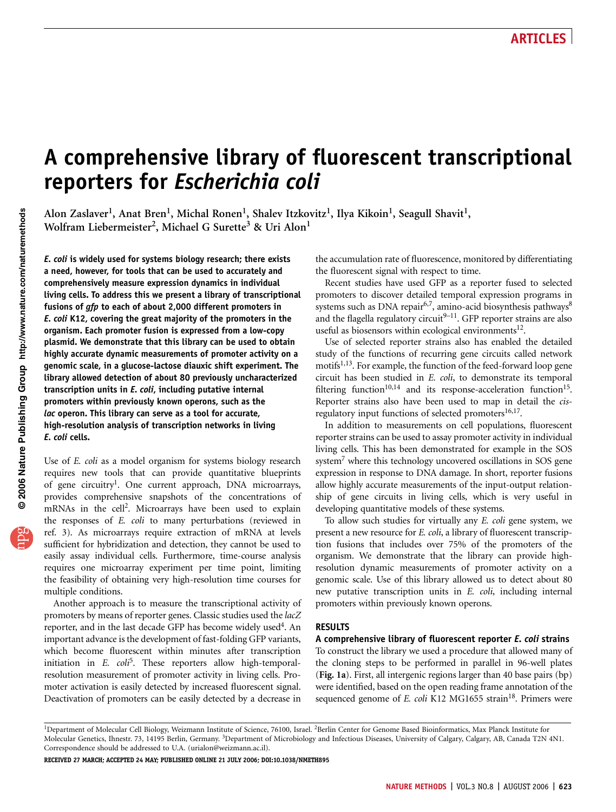# A comprehensive library of fluorescent transcriptional reporters for Escherichia coli

Alon Zaslaver<sup>1</sup>, Anat Bren<sup>1</sup>, Michal Ronen<sup>1</sup>, Shalev Itzkovitz<sup>1</sup>, Ilya Kikoin<sup>1</sup>, Seagull Shavit<sup>1</sup>, Wolfram Liebermeister<sup>2</sup>, Michael G Surette<sup>3</sup> & Uri Alon<sup>1</sup>

E. coli is widely used for systems biology research; there exists a need, however, for tools that can be used to accurately and comprehensively measure expression dynamics in individual living cells. To address this we present a library of transcriptional fusions of gfp to each of about 2,000 different promoters in E. coli K12, covering the great majority of the promoters in the organism. Each promoter fusion is expressed from a low-copy plasmid. We demonstrate that this library can be used to obtain highly accurate dynamic measurements of promoter activity on a genomic scale, in a glucose-lactose diauxic shift experiment. The library allowed detection of about 80 previously uncharacterized transcription units in E. coli, including putative internal promoters within previously known operons, such as the lac operon. This library can serve as a tool for accurate, high-resolution analysis of transcription networks in living E. coli cells.

Use of *E. coli* as a model organism for systems biology research requires new tools that can provide quantitative blueprints of gene circuitry<sup>1</sup>. One current approach, DNA microarrays, provides comprehensive snapshots of the concentrations of mRNAs in the cell<sup>2</sup>. Microarrays have been used to explain the responses of E. coli to many perturbations (reviewed in ref. 3). As microarrays require extraction of mRNA at levels sufficient for hybridization and detection, they cannot be used to easily assay individual cells. Furthermore, time-course analysis requires one microarray experiment per time point, limiting the feasibility of obtaining very high-resolution time courses for multiple conditions.

Another approach is to measure the transcriptional activity of promoters by means of reporter genes. Classic studies used the lacZ reporter, and in the last decade GFP has become widely used<sup>4</sup>. An important advance is the development of fast-folding GFP variants, which become fluorescent within minutes after transcription initiation in E.  $\text{col}^5$ . These reporters allow high-temporalresolution measurement of promoter activity in living cells. Promoter activation is easily detected by increased fluorescent signal. Deactivation of promoters can be easily detected by a decrease in

the accumulation rate of fluorescence, monitored by differentiating the fluorescent signal with respect to time.

Recent studies have used GFP as a reporter fused to selected promoters to discover detailed temporal expression programs in systems such as DNA repair<sup>6,7</sup>, amino-acid biosynthesis pathways<sup>8</sup> and the flagella regulatory circuit $9-11$ . GFP reporter strains are also useful as biosensors within ecological environments<sup>12</sup>.

Use of selected reporter strains also has enabled the detailed study of the functions of recurring gene circuits called network motifs<sup>1,13</sup>. For example, the function of the feed-forward loop gene circuit has been studied in E. coli, to demonstrate its temporal filtering function<sup>10,14</sup> and its response-acceleration function<sup>15</sup>. Reporter strains also have been used to map in detail the cisregulatory input functions of selected promoters $16,17$ .

In addition to measurements on cell populations, fluorescent reporter strains can be used to assay promoter activity in individual living cells. This has been demonstrated for example in the SOS system $<sup>7</sup>$  where this technology uncovered oscillations in SOS gene</sup> expression in response to DNA damage. In short, reporter fusions allow highly accurate measurements of the input-output relationship of gene circuits in living cells, which is very useful in developing quantitative models of these systems.

To allow such studies for virtually any E. coli gene system, we present a new resource for E. coli, a library of fluorescent transcription fusions that includes over 75% of the promoters of the organism. We demonstrate that the library can provide highresolution dynamic measurements of promoter activity on a genomic scale. Use of this library allowed us to detect about 80 new putative transcription units in E. coli, including internal promoters within previously known operons.

#### RESULTS

A comprehensive library of fluorescent reporter E. coli strains

To construct the library we used a procedure that allowed many of the cloning steps to be performed in parallel in 96-well plates (Fig. 1a). First, all intergenic regions larger than 40 base pairs (bp) were identified, based on the open reading frame annotation of the sequenced genome of E. coli K12 MG1655 strain<sup>18</sup>. Primers were

<sup>&</sup>lt;sup>1</sup>Department of Molecular Cell Biology, Weizmann Institute of Science, 76100, Israel. <sup>2</sup>Berlin Center for Genome Based Bioinformatics, Max Planck Institute for Molecular Genetics, Ihnestr. 73, 14195 Berlin, Germany. 3Department of Microbiology and Infectious Diseases, University of Calgary, Calgary, AB, Canada T2N 4N1. Correspondence should be addressed to U.A. (urialon@weizmann.ac.il).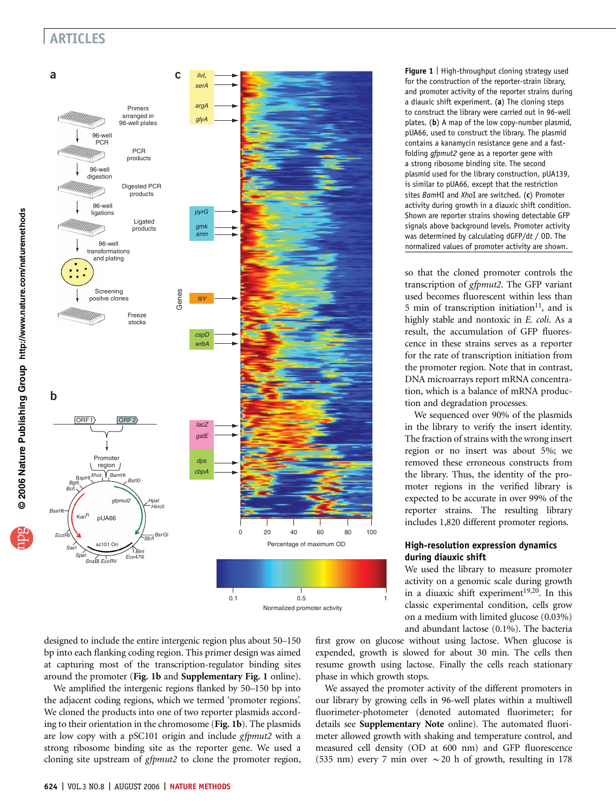

for the construction of the reporter-strain library, and promoter activity of the reporter strains during a diauxic shift experiment. (a) The cloning steps to construct the library were carried out in 96-well plates. (b) A map of the low copy-number plasmid, pUA66, used to construct the library. The plasmid contains a kanamycin resistance gene and a fastfolding *gfpmut2* gene as a reporter gene with a strong ribosome binding site. The second plasmid used for the library construction, pUA139, is similar to pUA66, except that the restriction sites BamHI and XhoI are switched. (c) Promoter activity during growth in a diauxic shift condition. Shown are reporter strains showing detectable GFP signals above background levels. Promoter activity was determined by calculating dGFP/dt / OD. The normalized values of promoter activity are shown.

so that the cloned promoter controls the transcription of gfpmut2. The GFP variant used becomes fluorescent within less than 5 min of transcription initiation<sup>11</sup>, and is highly stable and nontoxic in E. coli. As a result, the accumulation of GFP fluorescence in these strains serves as a reporter for the rate of transcription initiation from the promoter region. Note that in contrast, DNA microarrays report mRNA concentration, which is a balance of mRNA production and degradation processes.

We sequenced over 90% of the plasmids in the library to verify the insert identity. The fraction of strains with the wrong insert region or no insert was about 5%; we removed these erroneous constructs from the library. Thus, the identity of the promoter regions in the verified library is expected to be accurate in over 99% of the reporter strains. The resulting library includes 1,820 different promoter regions.

#### High-resolution expression dynamics during diauxic shift

We used the library to measure promoter activity on a genomic scale during growth in a diuaxic shift experiment<sup>19,20</sup>. In this classic experimental condition, cells grow on a medium with limited glucose (0.03%) and abundant lactose (0.1%). The bacteria

designed to include the entire intergenic region plus about 50–150 bp into each flanking coding region. This primer design was aimed at capturing most of the transcription-regulator binding sites around the promoter (Fig. 1b and Supplementary Fig. 1 online).

We amplified the intergenic regions flanked by 50–150 bp into the adjacent coding regions, which we termed 'promoter regions'. We cloned the products into one of two reporter plasmids according to their orientation in the chromosome (Fig. 1b). The plasmids are low copy with a pSC101 origin and include gfpmut2 with a strong ribosome binding site as the reporter gene. We used a cloning site upstream of gfpmut2 to clone the promoter region, first grow on glucose without using lactose. When glucose is expended, growth is slowed for about 30 min. The cells then resume growth using lactose. Finally the cells reach stationary phase in which growth stops.

We assayed the promoter activity of the different promoters in our library by growing cells in 96-well plates within a multiwell fluorimeter-photometer (denoted automated fluorimeter; for details see Supplementary Note online). The automated fluorimeter allowed growth with shaking and temperature control, and measured cell density (OD at 600 nm) and GFP fluorescence (535 nm) every 7 min over  $\sim$  20 h of growth, resulting in 178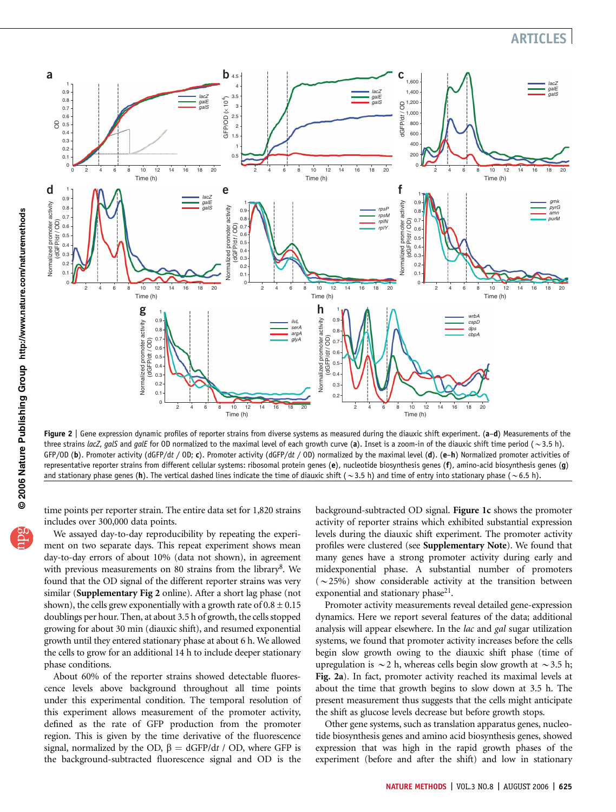

Figure 2 | Gene expression dynamic profiles of reporter strains from diverse systems as measured during the diauxic shift experiment. (a-d) Measurements of the three strains lacZ, galS and galE for 0D normalized to the maximal level of each growth curve (a). Inset is a zoom-in of the diauxic shift time period ( $\sim$ 3.5 h). GFP/OD (b). Promoter activity (dGFP/dt / OD; c). Promoter activity (dGFP/dt / OD) normalized by the maximal level (d). (e–h) Normalized promoter activities of representative reporter strains from different cellular systems: ribosomal protein genes (e), nucleotide biosynthesis genes (f), amino-acid biosynthesis genes (g) and stationary phase genes (h). The vertical dashed lines indicate the time of diauxic shift ( $\sim$ 3.5 h) and time of entry into stationary phase ( $\sim$  6.5 h).

time points per reporter strain. The entire data set for 1,820 strains includes over 300,000 data points.

We assayed day-to-day reproducibility by repeating the experiment on two separate days. This repeat experiment shows mean day-to-day errors of about 10% (data not shown), in agreement with previous measurements on 80 strains from the library<sup>8</sup>. We found that the OD signal of the different reporter strains was very similar (Supplementary Fig 2 online). After a short lag phase (not shown), the cells grew exponentially with a growth rate of  $0.8 \pm 0.15$ doublings per hour. Then, at about 3.5 h of growth, the cells stopped growing for about 30 min (diauxic shift), and resumed exponential growth until they entered stationary phase at about 6 h. We allowed the cells to grow for an additional 14 h to include deeper stationary phase conditions.

About 60% of the reporter strains showed detectable fluorescence levels above background throughout all time points under this experimental condition. The temporal resolution of this experiment allows measurement of the promoter activity, defined as the rate of GFP production from the promoter region. This is given by the time derivative of the fluorescence signal, normalized by the OD,  $\beta = dGFP/dt / OD$ , where GFP is the background-subtracted fluorescence signal and OD is the background-subtracted OD signal. Figure 1c shows the promoter activity of reporter strains which exhibited substantial expression levels during the diauxic shift experiment. The promoter activity profiles were clustered (see Supplementary Note). We found that many genes have a strong promoter activity during early and midexponential phase. A substantial number of promoters  $(\sim 25\%)$  show considerable activity at the transition between exponential and stationary phase $2^1$ .

Promoter activity measurements reveal detailed gene-expression dynamics. Here we report several features of the data; additional analysis will appear elsewhere. In the lac and gal sugar utilization systems, we found that promoter activity increases before the cells begin slow growth owing to the diauxic shift phase (time of upregulation is  $\sim$  2 h, whereas cells begin slow growth at  $\sim$  3.5 h; Fig. 2a). In fact, promoter activity reached its maximal levels at about the time that growth begins to slow down at 3.5 h. The present measurement thus suggests that the cells might anticipate the shift as glucose levels decrease but before growth stops.

Other gene systems, such as translation apparatus genes, nucleotide biosynthesis genes and amino acid biosynthesis genes, showed expression that was high in the rapid growth phases of the experiment (before and after the shift) and low in stationary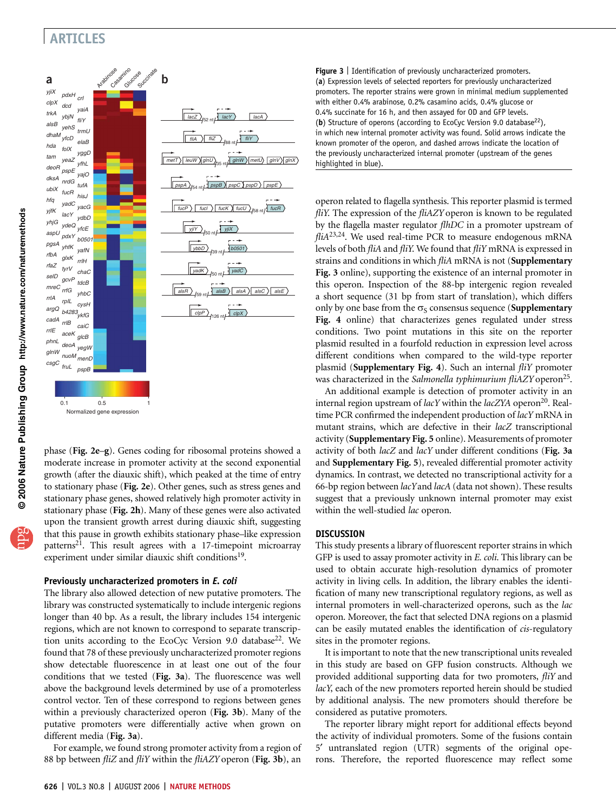

phase (Fig. 2e–g). Genes coding for ribosomal proteins showed a moderate increase in promoter activity at the second exponential growth (after the diauxic shift), which peaked at the time of entry to stationary phase (Fig. 2e). Other genes, such as stress genes and stationary phase genes, showed relatively high promoter activity in stationary phase (Fig. 2h). Many of these genes were also activated upon the transient growth arrest during diauxic shift, suggesting that this pause in growth exhibits stationary phase–like expression patterns<sup>21</sup>. This result agrees with a 17-timepoint microarray experiment under similar diauxic shift conditions<sup>19</sup>.

#### Previously uncharacterized promoters in E. coli

The library also allowed detection of new putative promoters. The library was constructed systematically to include intergenic regions longer than 40 bp. As a result, the library includes 154 intergenic regions, which are not known to correspond to separate transcription units according to the EcoCyc Version 9.0 database<sup>22</sup>. We found that 78 of these previously uncharacterized promoter regions show detectable fluorescence in at least one out of the four conditions that we tested (Fig. 3a). The fluorescence was well above the background levels determined by use of a promoterless control vector. Ten of these correspond to regions between genes within a previously characterized operon (Fig. 3b). Many of the putative promoters were differentially active when grown on different media (Fig. 3a).

For example, we found strong promoter activity from a region of 88 bp between fliZ and fliY within the fliAZY operon (Fig. 3b), an (a) Expression levels of selected reporters for previously uncharacterized promoters. The reporter strains were grown in minimal medium supplemented with either 0.4% arabinose, 0.2% casamino acids, 0.4% glucose or 0.4% succinate for 16 h, and then assayed for OD and GFP levels. (b) Structure of operons (according to EcoCyc Version 9.0 database<sup>22</sup>), in which new internal promoter activity was found. Solid arrows indicate the known promoter of the operon, and dashed arrows indicate the location of the previously uncharacterized internal promoter (upstream of the genes highlighted in blue).

operon related to flagella synthesis. This reporter plasmid is termed fliY. The expression of the fliAZY operon is known to be regulated by the flagella master regulator flhDC in a promoter upstream of  $fliA^{23,24}$ . We used real-time PCR to measure endogenous mRNA levels of both fliA and fliY. We found that fliY mRNA is expressed in strains and conditions in which fliA mRNA is not (Supplementary Fig. 3 online), supporting the existence of an internal promoter in this operon. Inspection of the 88-bp intergenic region revealed a short sequence (31 bp from start of translation), which differs only by one base from the  $\sigma_S$  consensus sequence (**Supplementary** Fig. 4 online) that characterizes genes regulated under stress conditions. Two point mutations in this site on the reporter plasmid resulted in a fourfold reduction in expression level across different conditions when compared to the wild-type reporter plasmid (Supplementary Fig. 4). Such an internal fliY promoter was characterized in the Salmonella typhimurium fliAZY operon<sup>25</sup>.

An additional example is detection of promoter activity in an internal region upstream of *lacY* within the *lacZYA* operon<sup>20</sup>. Realtime PCR confirmed the independent production of lacY mRNA in mutant strains, which are defective in their lacZ transcriptional activity (Supplementary Fig. 5 online). Measurements of promoter activity of both lacZ and lacY under different conditions (Fig. 3a and Supplementary Fig. 5), revealed differential promoter activity dynamics. In contrast, we detected no transcriptional activity for a 66-bp region between lacYand lacA (data not shown). These results suggest that a previously unknown internal promoter may exist within the well-studied lac operon.

#### **DISCUSSION**

This study presents a library of fluorescent reporter strains in which GFP is used to assay promoter activity in E. coli. This library can be used to obtain accurate high-resolution dynamics of promoter activity in living cells. In addition, the library enables the identification of many new transcriptional regulatory regions, as well as internal promoters in well-characterized operons, such as the lac operon. Moreover, the fact that selected DNA regions on a plasmid can be easily mutated enables the identification of cis-regulatory sites in the promoter regions.

It is important to note that the new transcriptional units revealed in this study are based on GFP fusion constructs. Although we provided additional supporting data for two promoters, fliY and lacY, each of the new promoters reported herein should be studied by additional analysis. The new promoters should therefore be considered as putative promoters.

The reporter library might report for additional effects beyond the activity of individual promoters. Some of the fusions contain 5¢ untranslated region (UTR) segments of the original operons. Therefore, the reported fluorescence may reflect some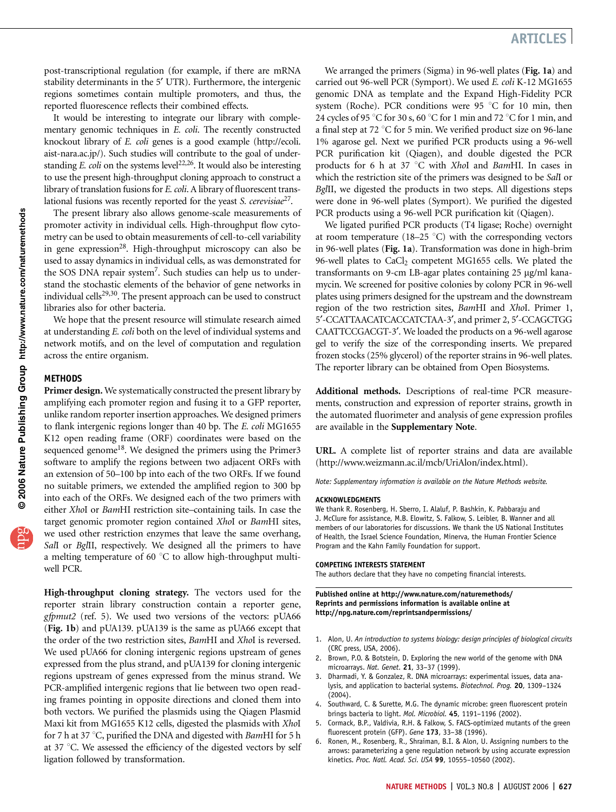post-transcriptional regulation (for example, if there are mRNA stability determinants in the 5' UTR). Furthermore, the intergenic regions sometimes contain multiple promoters, and thus, the reported fluorescence reflects their combined effects.

It would be interesting to integrate our library with complementary genomic techniques in E. coli. The recently constructed knockout library of E. coli genes is a good example (http://ecoli. aist-nara.ac.jp/). Such studies will contribute to the goal of understanding E. coli on the systems level<sup>22,26</sup>. It would also be interesting to use the present high-throughput cloning approach to construct a library of translation fusions for E. coli. A library of fluorescent translational fusions was recently reported for the yeast *S. cerevisiae*<sup>27</sup>.

The present library also allows genome-scale measurements of promoter activity in individual cells. High-throughput flow cytometry can be used to obtain measurements of cell-to-cell variability in gene expression<sup>28</sup>. High-throughput microscopy can also be used to assay dynamics in individual cells, as was demonstrated for the SOS DNA repair system<sup>7</sup>. Such studies can help us to understand the stochastic elements of the behavior of gene networks in individual cells<sup>29,30</sup>. The present approach can be used to construct libraries also for other bacteria.

We hope that the present resource will stimulate research aimed at understanding E. coli both on the level of individual systems and network motifs, and on the level of computation and regulation across the entire organism.

#### **METHODS**

Primer design. We systematically constructed the present library by amplifying each promoter region and fusing it to a GFP reporter, unlike random reporter insertion approaches. We designed primers to flank intergenic regions longer than 40 bp. The E. coli MG1655 K12 open reading frame (ORF) coordinates were based on the sequenced genome<sup>18</sup>. We designed the primers using the Primer3 software to amplify the regions between two adjacent ORFs with an extension of 50–100 bp into each of the two ORFs. If we found no suitable primers, we extended the amplified region to 300 bp into each of the ORFs. We designed each of the two primers with either XhoI or BamHI restriction site–containing tails. In case the target genomic promoter region contained XhoI or BamHI sites, we used other restriction enzymes that leave the same overhang, SalI or BglII, respectively. We designed all the primers to have a melting temperature of 60 $\degree$ C to allow high-throughput multiwell PCR.

High-throughput cloning strategy. The vectors used for the reporter strain library construction contain a reporter gene, gfpmut2 (ref. 5). We used two versions of the vectors: pUA66 (Fig. 1b) and pUA139. pUA139 is the same as pUA66 except that the order of the two restriction sites, BamHI and XhoI is reversed. We used pUA66 for cloning intergenic regions upstream of genes expressed from the plus strand, and pUA139 for cloning intergenic regions upstream of genes expressed from the minus strand. We PCR-amplified intergenic regions that lie between two open reading frames pointing in opposite directions and cloned them into both vectors. We purified the plasmids using the Qiagen Plasmid Maxi kit from MG1655 K12 cells, digested the plasmids with XhoI for 7 h at 37 °C, purified the DNA and digested with BamHI for 5 h at 37  $\degree$ C. We assessed the efficiency of the digested vectors by self ligation followed by transformation.

We arranged the primers (Sigma) in 96-well plates (Fig. 1a) and carried out 96-well PCR (Symport). We used E. coli K-12 MG1655 genomic DNA as template and the Expand High-Fidelity PCR system (Roche). PCR conditions were 95  $^{\circ}$ C for 10 min, then 24 cycles of 95 °C for 30 s, 60 °C for 1 min and 72 °C for 1 min, and a final step at 72  $\mathrm{^{\circ}C}$  for 5 min. We verified product size on 96-lane 1% agarose gel. Next we purified PCR products using a 96-well PCR purification kit (Qiagen), and double digested the PCR products for 6 h at 37 °C with XhoI and BamHI. In cases in which the restriction site of the primers was designed to be SalI or BglII, we digested the products in two steps. All digestions steps were done in 96-well plates (Symport). We purified the digested PCR products using a 96-well PCR purification kit (Qiagen).

We ligated purified PCR products (T4 ligase; Roche) overnight at room temperature (18–25  $^{\circ}$ C) with the corresponding vectors in 96-well plates (Fig. 1a). Transformation was done in high-brim 96-well plates to  $CaCl<sub>2</sub>$  competent MG1655 cells. We plated the transformants on 9-cm LB-agar plates containing 25 µg/ml kanamycin. We screened for positive colonies by colony PCR in 96-well plates using primers designed for the upstream and the downstream region of the two restriction sites, BamHI and XhoI. Primer 1, 5¢-CCATTAACATCACCATCTAA-3¢, and primer 2, 5¢-CCAGCTGG CAATTCCGACGT-3'. We loaded the products on a 96-well agarose gel to verify the size of the corresponding inserts. We prepared frozen stocks (25% glycerol) of the reporter strains in 96-well plates. The reporter library can be obtained from Open Biosystems.

Additional methods. Descriptions of real-time PCR measurements, construction and expression of reporter strains, growth in the automated fluorimeter and analysis of gene expression profiles are available in the Supplementary Note.

URL. A complete list of reporter strains and data are available (http://www.weizmann.ac.il/mcb/UriAlon/index.html).

Note: Supplementary information is available on the Nature Methods website.

#### ACKNOWLEDGMENTS

We thank R. Rosenberg, H. Sberro, I. Alaluf, P. Bashkin, K. Pabbaraju and J. McClure for assistance, M.B. Elowitz, S. Falkow, S. Leibler, B. Wanner and all members of our laboratories for discussions. We thank the US National Institutes of Health, the Israel Science Foundation, Minerva, the Human Frontier Science Program and the Kahn Family Foundation for support.

#### COMPETING INTERESTS STATEMENT

The authors declare that they have no competing financial interests.

Published online at http://www.nature.com/naturemethods/ Reprints and permissions information is available online at http://npg.nature.com/reprintsandpermissions/

- 1. Alon, U. An introduction to systems biology: design principles of biological circuits (CRC press, USA, 2006).
- 2. Brown, P.O. & Botstein, D. Exploring the new world of the genome with DNA microarrays. Nat. Genet. 21, 33–37 (1999).
- 3. Dharmadi, Y. & Gonzalez, R. DNA microarrays: experimental issues, data analysis, and application to bacterial systems. Biotechnol. Prog. 20, 1309–1324 (2004).
- 4. Southward, C. & Surette, M.G. The dynamic microbe: green fluorescent protein brings bacteria to light. Mol. Microbiol. 45, 1191-1196 (2002).
- 5. Cormack, B.P., Valdivia, R.H. & Falkow, S. FACS-optimized mutants of the green fluorescent protein (GFP). Gene 173, 33-38 (1996).
- 6. Ronen, M., Rosenberg, R., Shraiman, B.I. & Alon, U. Assigning numbers to the arrows: parameterizing a gene regulation network by using accurate expression kinetics. Proc. Natl. Acad. Sci. USA 99, 10555-10560 (2002).